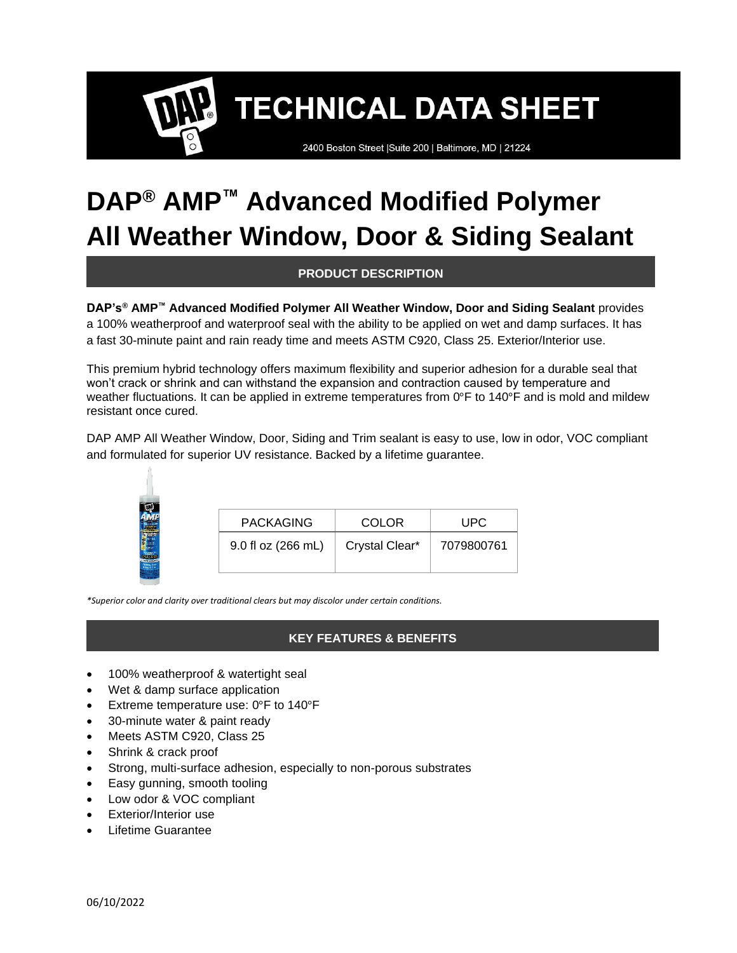2400 Boston Street | Suite 200 | Baltimore, MD | 21224

## **DAP® AMP™ Advanced Modified Polymer All Weather Window, Door & Siding Sealant**

## **PRODUCT DESCRIPTION**

**DAP's® AMP™ Advanced Modified Polymer All Weather Window, Door and Siding Sealant** provides a 100% weatherproof and waterproof seal with the ability to be applied on wet and damp surfaces. It has a fast 30-minute paint and rain ready time and meets ASTM C920, Class 25. Exterior/Interior use.

This premium hybrid technology offers maximum flexibility and superior adhesion for a durable seal that won't crack or shrink and can withstand the expansion and contraction caused by temperature and weather fluctuations. It can be applied in extreme temperatures from 0°F to 140°F and is mold and mildew resistant once cured.

DAP AMP All Weather Window, Door, Siding and Trim sealant is easy to use, low in odor, VOC compliant and formulated for superior UV resistance. Backed by a lifetime guarantee.

| <b>PACKAGING</b>   | <b>COLOR</b>   | UPC        |
|--------------------|----------------|------------|
| 9.0 fl oz (266 mL) | Crystal Clear* | 7079800761 |

*\*Superior color and clarity over traditional clears but may discolor under certain conditions.*

## **KEY FEATURES & BENEFITS**

- 100% weatherproof & watertight seal
- Wet & damp surface application
- Extreme temperature use: 0°F to 140°F
- 30-minute water & paint ready
- Meets ASTM C920, Class 25
- Shrink & crack proof
- Strong, multi-surface adhesion, especially to non-porous substrates
- Easy gunning, smooth tooling
- Low odor & VOC compliant
- Exterior/Interior use
- Lifetime Guarantee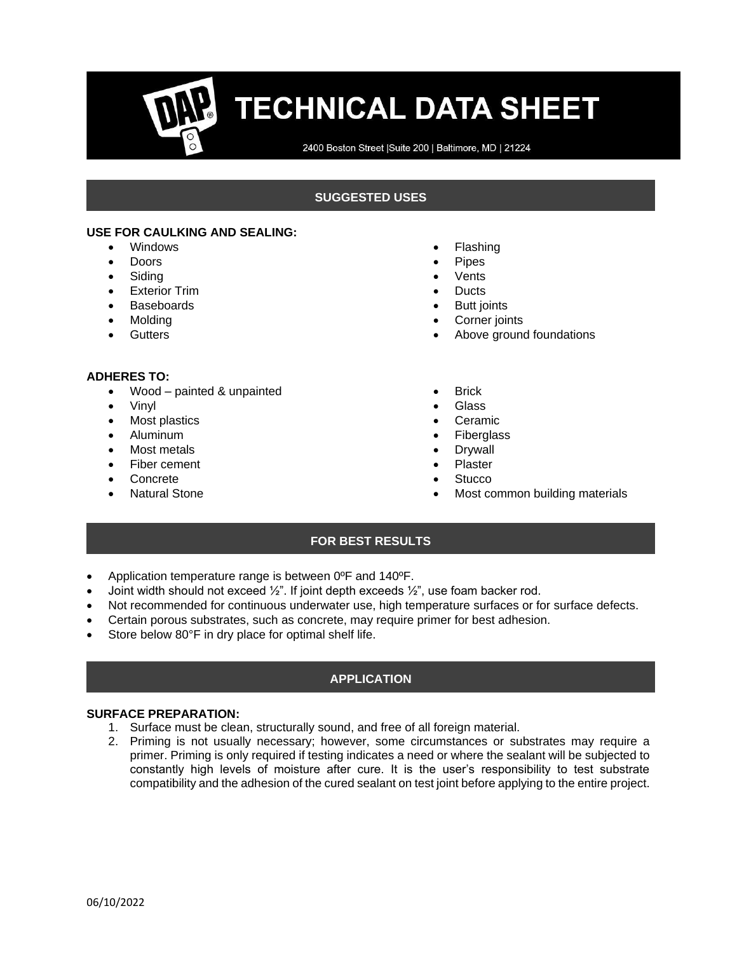2400 Boston Street | Suite 200 | Baltimore, MD | 21224

### **SUGGESTED USES**

#### **USE FOR CAULKING AND SEALING:**

- Windows
- Doors
- **Siding**
- Exterior Trim
- **Baseboards**
- Molding
- Gutters

#### **ADHERES TO:**

- Wood painted & unpainted
- Vinyl
- Most plastics
- Aluminum
- Most metals
- Fiber cement
- **Concrete**
- Natural Stone
- **Flashing**
- **Pipes**
- **Vents**
- **Ducts**
- **Butt joints**
- Corner joints
- Above ground foundations
- **Brick**
- Glass
- Ceramic
- **Fiberglass**
- **Drywall**
- **Plaster**
- **Stucco**
- Most common building materials

#### **FOR BEST RESULTS**

- Application temperature range is between 0ºF and 140ºF.
- Joint width should not exceed  $\frac{1}{2}$ ". If joint depth exceeds  $\frac{1}{2}$ ", use foam backer rod.
- Not recommended for continuous underwater use, high temperature surfaces or for surface defects.
- Certain porous substrates, such as concrete, may require primer for best adhesion.
- Store below 80°F in dry place for optimal shelf life.

## **APPLICATION**

#### **SURFACE PREPARATION:**

- 1. Surface must be clean, structurally sound, and free of all foreign material.
- 2. Priming is not usually necessary; however, some circumstances or substrates may require a primer. Priming is only required if testing indicates a need or where the sealant will be subjected to constantly high levels of moisture after cure. It is the user's responsibility to test substrate compatibility and the adhesion of the cured sealant on test joint before applying to the entire project.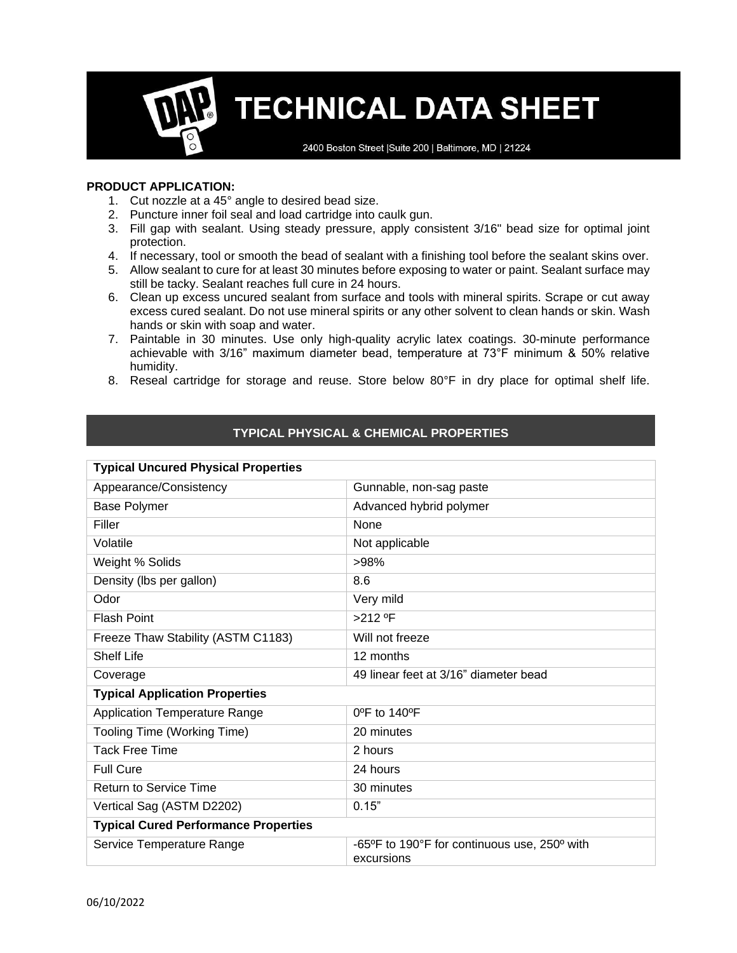2400 Boston Street | Suite 200 | Baltimore, MD | 21224

#### **PRODUCT APPLICATION:**

- 1. Cut nozzle at a 45° angle to desired bead size.
- 2. Puncture inner foil seal and load cartridge into caulk gun.
- 3. Fill gap with sealant. Using steady pressure, apply consistent 3/16" bead size for optimal joint protection.
- 4. If necessary, tool or smooth the bead of sealant with a finishing tool before the sealant skins over.
- 5. Allow sealant to cure for at least 30 minutes before exposing to water or paint. Sealant surface may still be tacky. Sealant reaches full cure in 24 hours.
- 6. Clean up excess uncured sealant from surface and tools with mineral spirits. Scrape or cut away excess cured sealant. Do not use mineral spirits or any other solvent to clean hands or skin. Wash hands or skin with soap and water.
- 7. Paintable in 30 minutes. Use only high-quality acrylic latex coatings. 30-minute performance achievable with 3/16" maximum diameter bead, temperature at 73°F minimum & 50% relative humidity.
- 8. Reseal cartridge for storage and reuse. Store below 80°F in dry place for optimal shelf life.

## **TYPICAL PHYSICAL & CHEMICAL PROPERTIES**

| <b>Typical Uncured Physical Properties</b>  |                                              |  |
|---------------------------------------------|----------------------------------------------|--|
| Appearance/Consistency                      | Gunnable, non-sag paste                      |  |
| <b>Base Polymer</b>                         | Advanced hybrid polymer                      |  |
| Filler                                      | None                                         |  |
| Volatile                                    | Not applicable                               |  |
| Weight % Solids                             | >98%                                         |  |
| Density (lbs per gallon)                    | 8.6                                          |  |
| Odor                                        | Very mild                                    |  |
| <b>Flash Point</b>                          | >212 °F                                      |  |
| Freeze Thaw Stability (ASTM C1183)          | Will not freeze                              |  |
| <b>Shelf Life</b>                           | 12 months                                    |  |
| Coverage                                    | 49 linear feet at 3/16" diameter bead        |  |
| <b>Typical Application Properties</b>       |                                              |  |
| <b>Application Temperature Range</b>        | $0^{\circ}$ F to 140 $^{\circ}$ F            |  |
| Tooling Time (Working Time)                 | 20 minutes                                   |  |
| <b>Tack Free Time</b>                       | 2 hours                                      |  |
| <b>Full Cure</b>                            | 24 hours                                     |  |
| <b>Return to Service Time</b>               | 30 minutes                                   |  |
| Vertical Sag (ASTM D2202)                   | 0.15"                                        |  |
| <b>Typical Cured Performance Properties</b> |                                              |  |
| Service Temperature Range                   | -65°F to 190°F for continuous use, 250° with |  |
|                                             | excursions                                   |  |